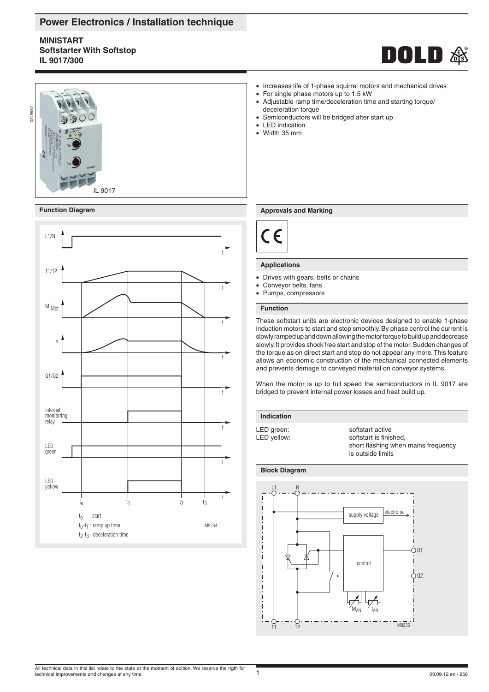# **Power Electronics / Installation technique**

# **MINISTART Softstarter With Softstop IL 9017/300**





# **Function Diagram**



- Increases life of 1-phase squirrel motors and mechanical drives
- For single phase motors up to 1.5 kW
- Adjustable ramp time/deceleration time and starting torque/ deceleration torque
- Semiconductors will be bridged after start up
- LED indication
- Width 35 mm

## **Approvals and Marking**



# **Applications**

- Drives with gears, belts or chains
- Conveyor belts, fans
- Pumps, compressors

# **Function**

These softstart units are electronic devices designed to enable 1-phase induction motors to start and stop smoothly. By phase control the current is slowly ramped up and down allowing the motor torque to build up and decrease slowly. It provides shock free start and stop of the motor. Sudden changes of the torque as on direct start and stop do not appear any more. This feature allows an economic construction of the mechanical connected elements and prevents demage to conveyed material on conveyor systems.

When the motor is up to full speed the semiconductors in IL 9017 are bridged to prevent internal power losses and heat build up.

**Indication**

LED green:<br>
LED yellow:<br>
LED yellow:<br>
softstart is finis softstart is finished. short flashing when mains frequency is outside limits

# **Block Diagram**